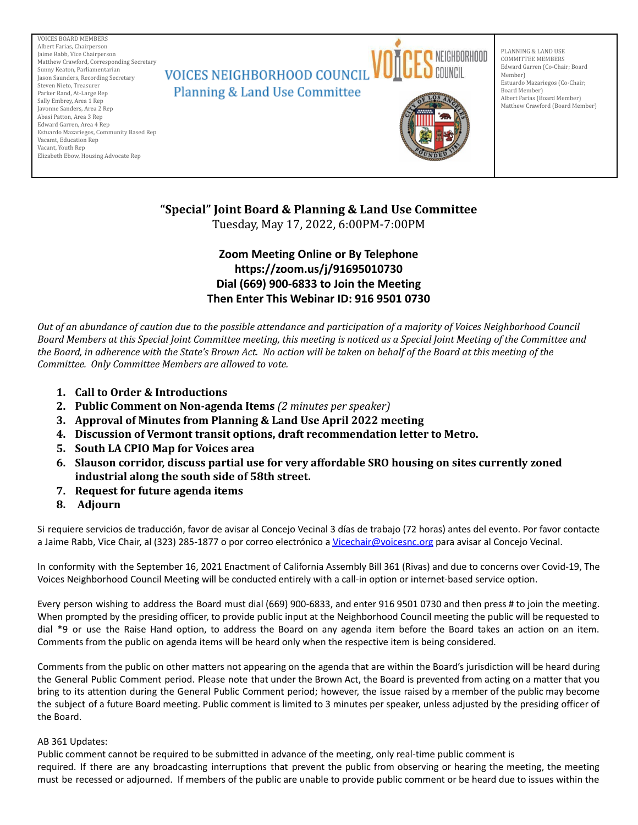VOICES BOARD MEMBERS Albert Farias, Chairperson Jaime Rabb, Vice Chairperson Matthew Crawford, Corresponding Secretary **VOICES NEIGHBORHOOD COUNCIL** Sunny Keaton, Parliamentarian Jason Saunders, Recording Secretary Steven Nieto, Treasurer **Planning & Land Use Committee** Parker Rand, At-Large Rep Sally Embrey, Area 1 Rep Javonne Sanders, Area 2 Rep Abasi Patton, Area 3 Rep Edward Garren, Area 4 Rep Estuardo Mazariegos, Community Based Rep Vacamt, Education Rep Vacant, Youth Rep Elizabeth Ebow, Housing Advocate Rep



PLANNING & LAND USE COMMITTEE MEMBERS Edward Garren (Co-Chair; Board Member) Estuardo Mazariegos (Co-Chair; Board Member) Albert Farias (Board Member) Matthew Crawford (Board Member)



# **"Special" Joint Board & Planning & Land Use Committee**

Tuesday, May 17, 2022, 6:00PM-7:00PM

## **Zoom Meeting Online or By Telephone https://zoom.us/j/91695010730 Dial (669) 900-6833 to Join the Meeting Then Enter This Webinar ID: 916 9501 0730**

Out of an abundance of caution due to the possible attendance and participation of a majority of Voices Neighborhood Council Board Members at this Special Joint Committee meeting, this meeting is noticed as a Special Joint Meeting of the Committee and the Board, in adherence with the State's Brown Act. No action will be taken on behalf of the Board at this meeting of the *Committee. Only Committee Members are allowed to vote.*

- **1. Call to Order & Introductions**
- **2. Public Comment on Non-agenda Items** *(2 minutes per speaker)*
- **3. Approval of Minutes from Planning & Land Use April 2022 meeting**
- **4. Discussion of Vermont transit options, draft recommendation letter to Metro.**
- **5. South LA CPIO Map for Voices area**
- **6. Slauson corridor, discuss partial use for very affordable SRO housing on sites currently zoned industrial along the south side of 58th street.**
- **7. Request for future agenda items**
- **8. Adjourn**

Si requiere servicios de traducción, favor de avisar al Concejo Vecinal 3 días de trabajo (72 horas) antes del evento. Por favor contacte a Jaime Rabb, Vice Chair, al (323) 285-1877 o por correo electrónico a [Vicechair@voicesnc.org](mailto:VNCCorrSec18@gmail.com) para avisar al Concejo Vecinal.

In conformity with the September 16, 2021 Enactment of California Assembly Bill 361 (Rivas) and due to concerns over Covid-19, The Voices Neighborhood Council Meeting will be conducted entirely with a call-in option or internet-based service option.

Every person wishing to address the Board must dial (669) 900-6833, and enter 916 9501 0730 and then press # to join the meeting. When prompted by the presiding officer, to provide public input at the Neighborhood Council meeting the public will be requested to dial \*9 or use the Raise Hand option, to address the Board on any agenda item before the Board takes an action on an item. Comments from the public on agenda items will be heard only when the respective item is being considered.

Comments from the public on other matters not appearing on the agenda that are within the Board's jurisdiction will be heard during the General Public Comment period. Please note that under the Brown Act, the Board is prevented from acting on a matter that you bring to its attention during the General Public Comment period; however, the issue raised by a member of the public may become the subject of a future Board meeting. Public comment is limited to 3 minutes per speaker, unless adjusted by the presiding officer of the Board.

### AB 361 Updates:

Public comment cannot be required to be submitted in advance of the meeting, only real-time public comment is required. If there are any broadcasting interruptions that prevent the public from observing or hearing the meeting, the meeting must be recessed or adjourned. If members of the public are unable to provide public comment or be heard due to issues within the